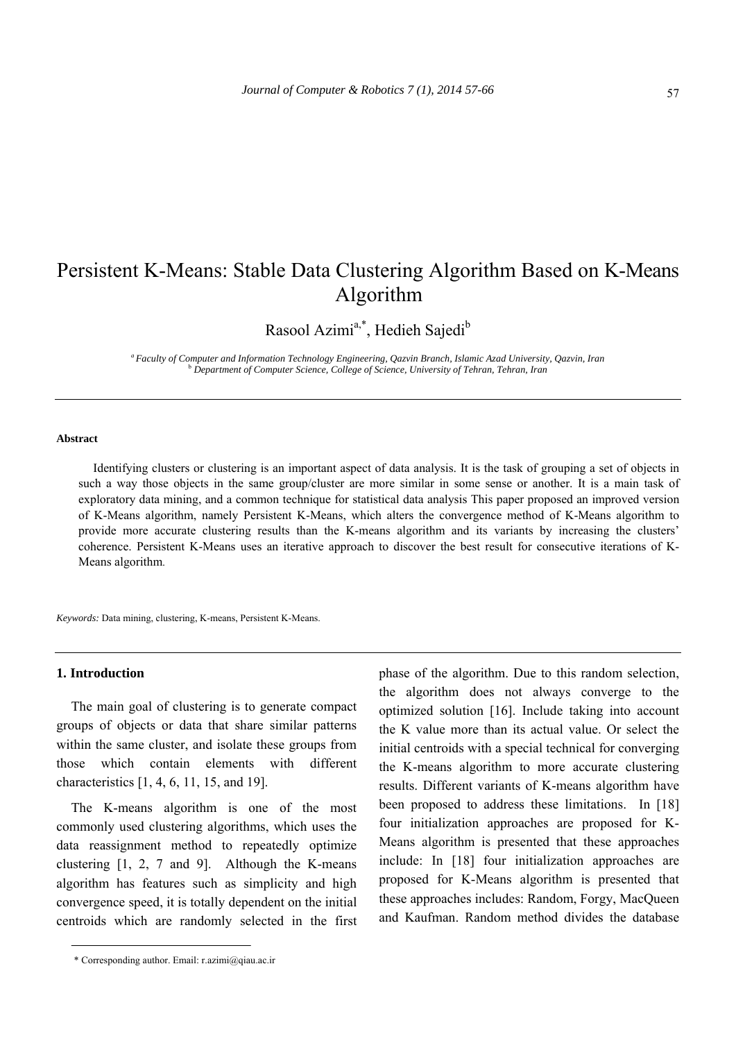# Persistent K-Means: Stable Data Clustering Algorithm Based on K-Means Algorithm

Rasool Azimi<sup>a,\*</sup>, Hedieh Sajedi<sup>b</sup>

*a Faculty of Computer and Information Technology Engineering, Qazvin Branch, Islamic Azad University, Qazvin, Iran* <sup>b</sup> *Department of Computer Science, College of Science, University of Tehran, Tehran, Iran*

## **Abstract**

Identifying clusters or clustering is an important aspect of data analysis. It is the task of grouping a set of objects in such a way those objects in the same group/cluster are more similar in some sense or another. It is a main task of exploratory data mining, and a common technique for statistical data analysis This paper proposed an improved version of K-Means algorithm, namely Persistent K-Means, which alters the convergence method of K-Means algorithm to provide more accurate clustering results than the K-means algorithm and its variants by increasing the clusters' coherence. Persistent K-Means uses an iterative approach to discover the best result for consecutive iterations of K-Means algorithm.

*Keywords:* Data mining, clustering, K-means, Persistent K-Means.

# **1. Introduction**

The main goal of clustering is to generate compact groups of objects or data that share similar patterns within the same cluster, and isolate these groups from those which contain elements with different characteristics [1, 4, 6, 11, 15, and 19].

The K-means algorithm is one of the most commonly used clustering algorithms, which uses the data reassignment method to repeatedly optimize clustering [1, 2, 7 and 9]. Although the K-means algorithm has features such as simplicity and high convergence speed, it is totally dependent on the initial centroids which are randomly selected in the first phase of the algorithm. Due to this random selection, the algorithm does not always converge to the optimized solution [16]. Include taking into account the K value more than its actual value. Or select the initial centroids with a special technical for converging the K-means algorithm to more accurate clustering results. Different variants of K-means algorithm have been proposed to address these limitations. In [18] four initialization approaches are proposed for K-Means algorithm is presented that these approaches include: In [18] four initialization approaches are proposed for K-Means algorithm is presented that these approaches includes: Random, Forgy, MacQueen and Kaufman. Random method divides the database

<sup>\*</sup> Corresponding author. Email: r.azimi@qiau.ac.ir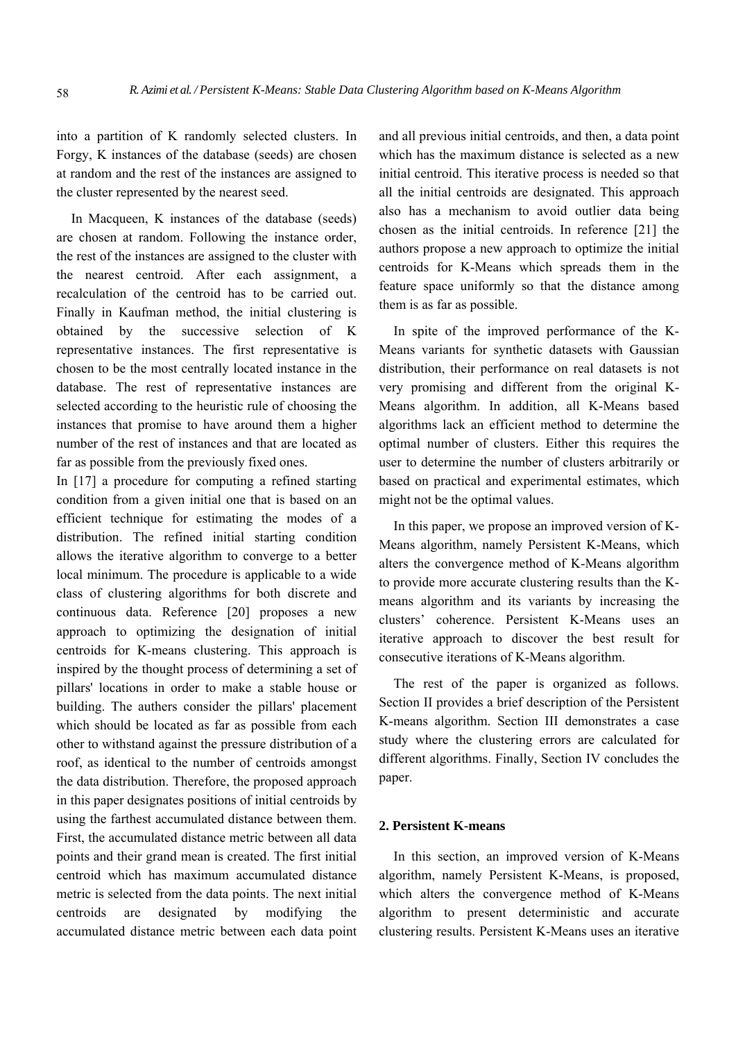into a partition of K randomly selected clusters. In Forgy, K instances of the database (seeds) are chosen at random and the rest of the instances are assigned to the cluster represented by the nearest seed.

In Macqueen, K instances of the database (seeds) are chosen at random. Following the instance order, the rest of the instances are assigned to the cluster with the nearest centroid. After each assignment, a recalculation of the centroid has to be carried out. Finally in Kaufman method, the initial clustering is obtained by the successive selection of K representative instances. The first representative is chosen to be the most centrally located instance in the database. The rest of representative instances are selected according to the heuristic rule of choosing the instances that promise to have around them a higher number of the rest of instances and that are located as far as possible from the previously fixed ones.

In [17] a procedure for computing a refined starting condition from a given initial one that is based on an efficient technique for estimating the modes of a distribution. The refined initial starting condition allows the iterative algorithm to converge to a better local minimum. The procedure is applicable to a wide class of clustering algorithms for both discrete and continuous data. Reference [20] proposes a new approach to optimizing the designation of initial centroids for K-means clustering. This approach is inspired by the thought process of determining a set of pillars' locations in order to make a stable house or building. The authers consider the pillars' placement which should be located as far as possible from each other to withstand against the pressure distribution of a roof, as identical to the number of centroids amongst the data distribution. Therefore, the proposed approach in this paper designates positions of initial centroids by using the farthest accumulated distance between them. First, the accumulated distance metric between all data points and their grand mean is created. The first initial centroid which has maximum accumulated distance metric is selected from the data points. The next initial centroids are designated by modifying the accumulated distance metric between each data point

and all previous initial centroids, and then, a data point which has the maximum distance is selected as a new initial centroid. This iterative process is needed so that all the initial centroids are designated. This approach also has a mechanism to avoid outlier data being chosen as the initial centroids. In reference [21] the authors propose a new approach to optimize the initial centroids for K-Means which spreads them in the feature space uniformly so that the distance among them is as far as possible.

In spite of the improved performance of the K-Means variants for synthetic datasets with Gaussian distribution, their performance on real datasets is not very promising and different from the original K-Means algorithm. In addition, all K-Means based algorithms lack an efficient method to determine the optimal number of clusters. Either this requires the user to determine the number of clusters arbitrarily or based on practical and experimental estimates, which might not be the optimal values.

In this paper, we propose an improved version of K-Means algorithm, namely Persistent K-Means, which alters the convergence method of K-Means algorithm to provide more accurate clustering results than the Kmeans algorithm and its variants by increasing the clusters' coherence. Persistent K-Means uses an iterative approach to discover the best result for consecutive iterations of K-Means algorithm.

The rest of the paper is organized as follows. Section II provides a brief description of the Persistent K-means algorithm. Section III demonstrates a case study where the clustering errors are calculated for different algorithms. Finally, Section IV concludes the paper.

# **2. Persistent K-means**

In this section, an improved version of K-Means algorithm, namely Persistent K-Means, is proposed, which alters the convergence method of K-Means algorithm to present deterministic and accurate clustering results. Persistent K-Means uses an iterative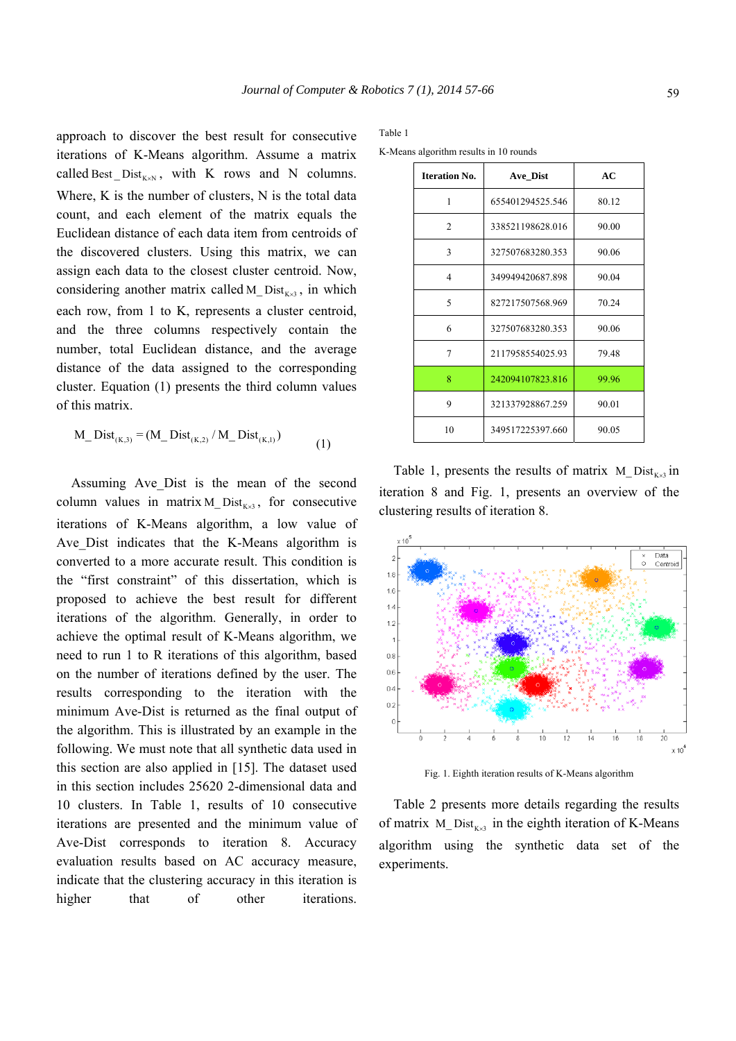approach to discover the best result for consecutive iterations of K-Means algorithm. Assume a matrix called Best  $Dist_{K \times N}$ , with K rows and N columns. Where, K is the number of clusters, N is the total data count, and each element of the matrix equals the Euclidean distance of each data item from centroids of the discovered clusters. Using this matrix, we can assign each data to the closest cluster centroid. Now, considering another matrix called M\_Dist<sub>Kx3</sub>, in which each row, from 1 to K, represents a cluster centroid, and the three columns respectively contain the number, total Euclidean distance, and the average distance of the data assigned to the corresponding cluster. Equation (1) presents the third column values of this matrix.

$$
M_{Dist_{(K,3)}} = (M_{Dist_{(K,2)}} / M_{Dist_{(K,1)}})
$$
\n(1)

Assuming Ave\_Dist is the mean of the second column values in matrix M\_Dist<sub> $K_{\lambda}$ 3</sub>, for consecutive iterations of K-Means algorithm, a low value of Ave\_Dist indicates that the K-Means algorithm is converted to a more accurate result. This condition is the "first constraint" of this dissertation, which is proposed to achieve the best result for different iterations of the algorithm. Generally, in order to achieve the optimal result of K-Means algorithm, we need to run 1 to R iterations of this algorithm, based on the number of iterations defined by the user. The results corresponding to the iteration with the minimum Ave-Dist is returned as the final output of the algorithm. This is illustrated by an example in the following. We must note that all synthetic data used in this section are also applied in [15]. The dataset used in this section includes 25620 2-dimensional data and 10 clusters. In Table 1, results of 10 consecutive iterations are presented and the minimum value of Ave-Dist corresponds to iteration 8. Accuracy evaluation results based on AC accuracy measure, indicate that the clustering accuracy in this iteration is higher that of other iterations.

#### Table 1

K-Means algorithm results in 10 rounds

| <b>Iteration No.</b> | Ave Dist         | AC    |
|----------------------|------------------|-------|
| 1                    | 655401294525.546 | 80.12 |
| $\mathfrak{D}$       | 338521198628.016 | 90.00 |
| 3                    | 327507683280.353 | 90.06 |
| 4                    | 349949420687.898 | 90.04 |
| 5                    | 827217507568.969 | 70.24 |
| 6                    | 327507683280.353 | 90.06 |
| 7                    | 2117958554025.93 | 79.48 |
| 8                    | 242094107823.816 | 99.96 |
| 9                    | 321337928867.259 | 90.01 |
| 10                   | 349517225397.660 | 90.05 |

Table 1, presents the results of matrix M\_ Dist $_{K \times 3}$  in iteration 8 and Fig. 1, presents an overview of the clustering results of iteration 8.



Fig. 1. Eighth iteration results of K-Means algorithm

Table 2 presents more details regarding the results of matrix  $M_{\text{Dist}_{K\times 3}}$  in the eighth iteration of K-Means algorithm using the synthetic data set of the experiments.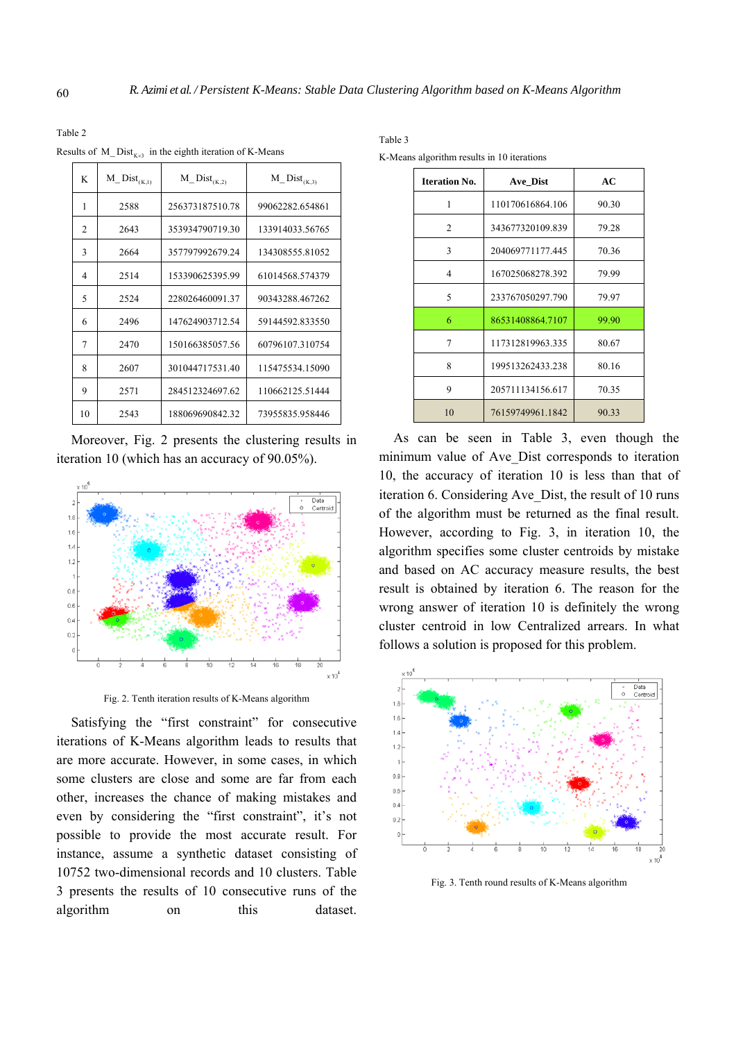Table 2

Results of  $M_{\_}Dist_{K\times 3}$  in the eighth iteration of K-Means

| K  | $M\_Dist_{(K,1)}$ | $M_{\_}Dist_{(K,2)}$ | $M_{\_}Dist_{(K,3)}$ |
|----|-------------------|----------------------|----------------------|
| 1  | 2588              | 256373187510.78      | 99062282.654861      |
| 2  | 2643              | 353934790719.30      | 133914033.56765      |
| 3  | 2664              | 357797992679.24      | 134308555.81052      |
| 4  | 2514              | 153390625395.99      | 61014568.574379      |
| 5  | 2524              | 228026460091.37      | 90343288.467262      |
| 6  | 2496              | 147624903712.54      | 59144592.833550      |
| 7  | 2470              | 150166385057.56      | 60796107.310754      |
| 8  | 2607              | 301044717531.40      | 115475534.15090      |
| 9  | 2571              | 284512324697.62      | 110662125.51444      |
| 10 | 2543              | 188069690842.32      | 73955835.958446      |

Moreover, Fig. 2 presents the clustering results in iteration 10 (which has an accuracy of 90.05%).



Fig. 2. Tenth iteration results of K-Means algorithm

Satisfying the "first constraint" for consecutive iterations of K-Means algorithm leads to results that are more accurate. However, in some cases, in which some clusters are close and some are far from each other, increases the chance of making mistakes and even by considering the "first constraint", it's not possible to provide the most accurate result. For instance, assume a synthetic dataset consisting of 10752 two-dimensional records and 10 clusters. Table 3 presents the results of 10 consecutive runs of the algorithm on this dataset.

Table 3

K-Means algorithm results in 10 iterations

| <b>Iteration No.</b> | Ave Dist         | AC    |
|----------------------|------------------|-------|
| 1                    | 110170616864.106 | 90.30 |
| $\mathfrak{D}$       | 343677320109.839 | 79.28 |
| 3                    | 204069771177.445 | 70.36 |
| 4                    | 167025068278.392 | 79.99 |
| 5                    | 233767050297.790 | 79.97 |
| 6                    | 86531408864.7107 | 99.90 |
| 7                    | 117312819963.335 | 80.67 |
| 8                    | 199513262433.238 | 80.16 |
| 9                    | 205711134156.617 | 70.35 |
| 10                   | 76159749961.1842 | 90.33 |

As can be seen in Table 3, even though the minimum value of Ave Dist corresponds to iteration 10, the accuracy of iteration 10 is less than that of iteration 6. Considering Ave\_Dist, the result of 10 runs of the algorithm must be returned as the final result. However, according to Fig. 3, in iteration 10, the algorithm specifies some cluster centroids by mistake and based on AC accuracy measure results, the best result is obtained by iteration 6. The reason for the wrong answer of iteration 10 is definitely the wrong cluster centroid in low Centralized arrears. In what follows a solution is proposed for this problem.



Fig. 3. Tenth round results of K-Means algorithm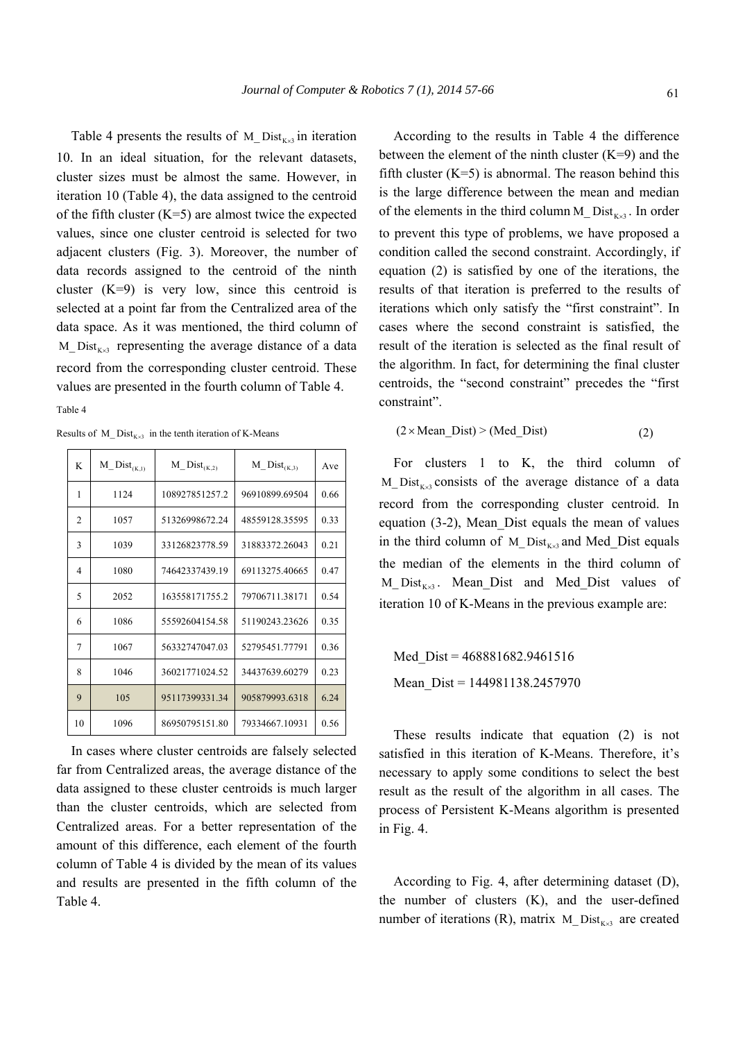Table 4 presents the results of  $M_{\text{L}}$ Dist<sub>Kx3</sub> in iteration 10. In an ideal situation, for the relevant datasets, cluster sizes must be almost the same. However, in iteration 10 (Table 4), the data assigned to the centroid of the fifth cluster  $(K=5)$  are almost twice the expected values, since one cluster centroid is selected for two adjacent clusters (Fig. 3). Moreover, the number of data records assigned to the centroid of the ninth cluster  $(K=9)$  is very low, since this centroid is selected at a point far from the Centralized area of the data space. As it was mentioned, the third column of  $M_{\text{L}}$  Dist<sub>Kx3</sub> representing the average distance of a data record from the corresponding cluster centroid. These values are presented in the fourth column of Table 4. Table 4

Results of M\_ Dist<sub>K x3</sub> in the tenth iteration of K-Means

| K              | $M_{\_}Dist_{(K,1)}$ | $M_{\_}Dist_{(K,2)}$ | $M_{\_}Dist_{(K,3)}$ | Ave  |
|----------------|----------------------|----------------------|----------------------|------|
| 1              | 1124                 | 108927851257.2       | 96910899.69504       | 0.66 |
| $\overline{c}$ | 1057                 | 51326998672.24       | 48559128.35595       | 0.33 |
| 3              | 1039                 | 33126823778.59       | 31883372.26043       | 0.21 |
| 4              | 1080                 | 74642337439.19       | 69113275.40665       | 0.47 |
| 5              | 2052                 | 163558171755.2       | 79706711.38171       | 0.54 |
| 6              | 1086                 | 55592604154.58       | 51190243.23626       | 0.35 |
| 7              | 1067                 | 56332747047.03       | 52795451.77791       | 0.36 |
| 8              | 1046                 | 36021771024.52       | 34437639.60279       | 0.23 |
| 9              | 105                  | 95117399331.34       | 905879993.6318       | 6.24 |
| 10             | 1096                 | 86950795151.80       | 79334667.10931       | 0.56 |

In cases where cluster centroids are falsely selected far from Centralized areas, the average distance of the data assigned to these cluster centroids is much larger than the cluster centroids, which are selected from Centralized areas. For a better representation of the amount of this difference, each element of the fourth column of Table 4 is divided by the mean of its values and results are presented in the fifth column of the Table 4.

According to the results in Table 4 the difference between the element of the ninth cluster  $(K=9)$  and the fifth cluster  $(K=5)$  is abnormal. The reason behind this is the large difference between the mean and median of the elements in the third column M\_Dist<sub>Kx3</sub>. In order to prevent this type of problems, we have proposed a condition called the second constraint. Accordingly, if equation (2) is satisfied by one of the iterations, the results of that iteration is preferred to the results of iterations which only satisfy the "first constraint". In cases where the second constraint is satisfied, the result of the iteration is selected as the final result of the algorithm. In fact, for determining the final cluster centroids, the "second constraint" precedes the "first constraint".

$$
(2 \times Mean\_Dist) > (Med\_Dist)
$$
 (2)

For clusters 1 to K, the third column of  $M_{\text{L}}$ Dist<sub>Kx3</sub> consists of the average distance of a data record from the corresponding cluster centroid. In equation (3-2), Mean\_Dist equals the mean of values in the third column of  $M_{\text{L}}$  Dist<sub>Kx3</sub> and Med Dist equals the median of the elements in the third column of  $M_{\text{L}}$ Dist<sub>Kx3</sub>. Mean<sub> $\text{L}}$ </sub>Dist and Med<sub> $\text{L}}$ Dist values of</sub> iteration 10 of K-Means in the previous example are:

Med Dist = 468881682.9461516 Mean Dist = 144981138.2457970

These results indicate that equation (2) is not satisfied in this iteration of K-Means. Therefore, it's necessary to apply some conditions to select the best result as the result of the algorithm in all cases. The process of Persistent K-Means algorithm is presented in Fig. 4.

According to Fig. 4, after determining dataset (D), the number of clusters (K), and the user-defined number of iterations (R), matrix M\_Dist<sub> $K_{\lambda}$ 3</sub> are created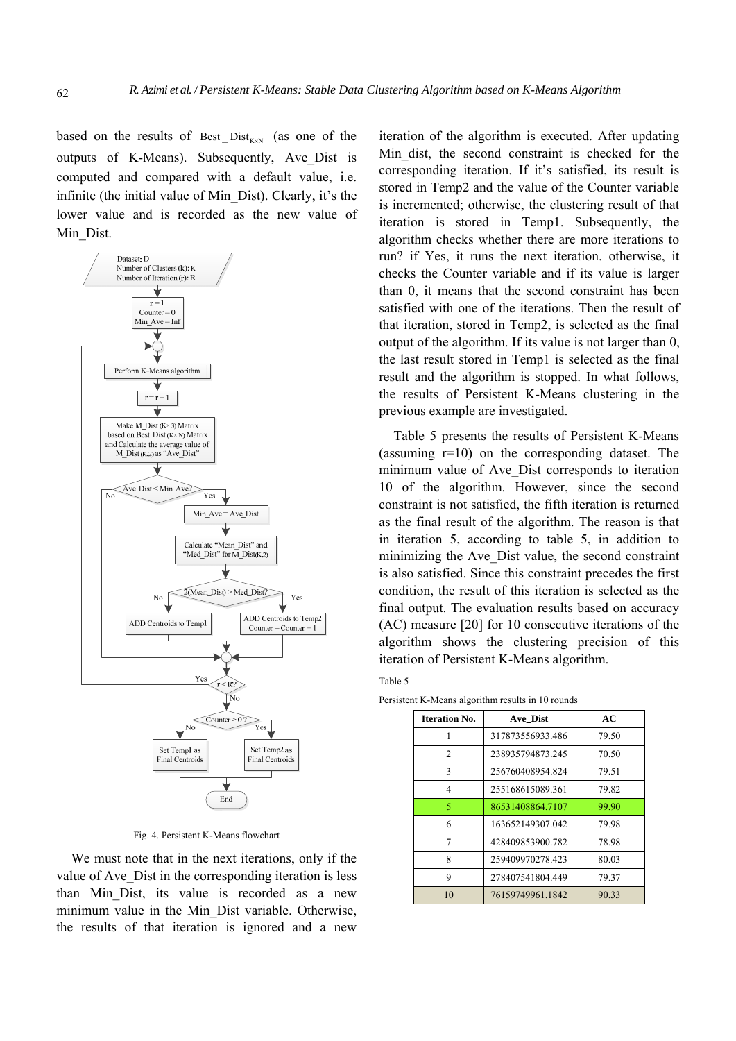based on the results of Best  $Dist_{K\times N}$  (as one of the outputs of K-Means). Subsequently, Ave\_Dist is computed and compared with a default value, i.e. infinite (the initial value of Min\_Dist). Clearly, it's the lower value and is recorded as the new value of Min\_Dist.



Fig. 4. Persistent K-Means flowchart

We must note that in the next iterations, only if the value of Ave\_Dist in the corresponding iteration is less than Min\_Dist, its value is recorded as a new minimum value in the Min\_Dist variable. Otherwise, the results of that iteration is ignored and a new

iteration of the algorithm is executed. After updating Min\_dist, the second constraint is checked for the corresponding iteration. If it's satisfied, its result is stored in Temp2 and the value of the Counter variable is incremented; otherwise, the clustering result of that iteration is stored in Temp1. Subsequently, the algorithm checks whether there are more iterations to run? if Yes, it runs the next iteration. otherwise, it checks the Counter variable and if its value is larger than 0, it means that the second constraint has been satisfied with one of the iterations. Then the result of that iteration, stored in Temp2, is selected as the final output of the algorithm. If its value is not larger than 0, the last result stored in Temp1 is selected as the final result and the algorithm is stopped. In what follows, the results of Persistent K-Means clustering in the previous example are investigated.

Table 5 presents the results of Persistent K-Means (assuming r=10) on the corresponding dataset. The minimum value of Ave Dist corresponds to iteration 10 of the algorithm. However, since the second constraint is not satisfied, the fifth iteration is returned as the final result of the algorithm. The reason is that in iteration 5, according to table 5, in addition to minimizing the Ave\_Dist value, the second constraint is also satisfied. Since this constraint precedes the first condition, the result of this iteration is selected as the final output. The evaluation results based on accuracy (AC) measure [20] for 10 consecutive iterations of the algorithm shows the clustering precision of this iteration of Persistent K-Means algorithm.

| ۰,<br>×<br>. .<br>× | I<br>۰, |
|---------------------|---------|
|---------------------|---------|

| <b>Iteration No.</b> | Ave Dist         | AC    |
|----------------------|------------------|-------|
| 1                    | 317873556933.486 | 79.50 |
| $\overline{2}$       | 238935794873.245 | 70.50 |
| 3                    | 256760408954.824 | 79.51 |
| 4                    | 255168615089.361 | 79.82 |
| 5                    | 86531408864.7107 | 99.90 |
| 6                    | 163652149307.042 | 79.98 |
| 7                    | 428409853900.782 | 78.98 |
| 8                    | 259409970278.423 | 80.03 |
| 9                    | 278407541804.449 | 79.37 |
| 10                   | 76159749961.1842 | 90.33 |

Persistent K-Means algorithm results in 10 rounds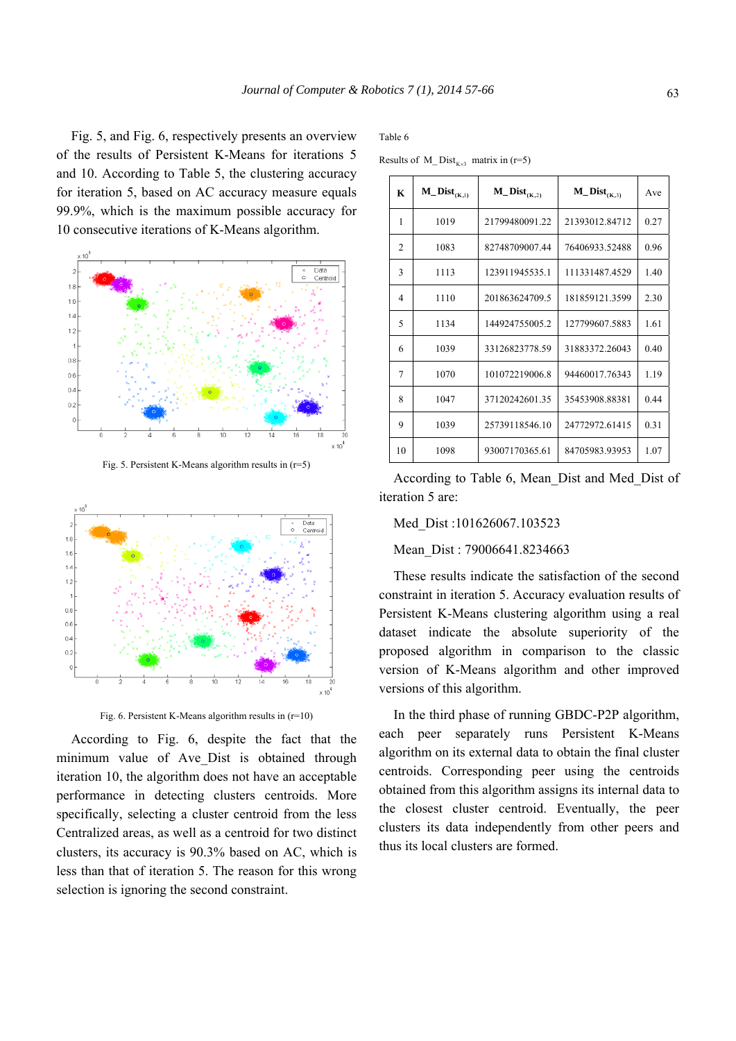Fig. 5, and Fig. 6, respectively presents an overview of the results of Persistent K-Means for iterations 5 and 10. According to Table 5, the clustering accuracy for iteration 5, based on AC accuracy measure equals 99.9%, which is the maximum possible accuracy for 10 consecutive iterations of K-Means algorithm.



Fig. 5. Persistent K-Means algorithm results in  $(r=5)$ 



Fig. 6. Persistent K-Means algorithm results in  $(r=10)$ 

According to Fig. 6, despite the fact that the minimum value of Ave Dist is obtained through iteration 10, the algorithm does not have an acceptable performance in detecting clusters centroids. More specifically, selecting a cluster centroid from the less Centralized areas, as well as a centroid for two distinct clusters, its accuracy is 90.3% based on AC, which is less than that of iteration 5. The reason for this wrong selection is ignoring the second constraint.

Table 6

Results of M\_Dist<sub>K x3</sub> matrix in (r=5)

| K              | $M_$ Dist $_{(K,1)}$ | $M_{\text{}}Dist_{(K,2)}$ | $M_{-}Dist_{(K,3)}$ | Ave  |
|----------------|----------------------|---------------------------|---------------------|------|
| 1              | 1019                 | 21799480091.22            | 21393012.84712      | 0.27 |
| $\overline{2}$ | 1083                 | 82748709007.44            | 76406933.52488      | 0.96 |
| 3              | 1113                 | 123911945535.1            | 111331487.4529      | 1.40 |
| 4              | 1110                 | 201863624709.5            | 181859121.3599      | 2.30 |
| 5              | 1134                 | 144924755005.2            | 127799607.5883      | 1.61 |
| 6              | 1039                 | 33126823778.59            | 31883372.26043      | 0.40 |
| 7              | 1070                 | 101072219006.8            | 94460017.76343      | 1.19 |
| 8              | 1047                 | 37120242601.35            | 35453908.88381      | 0.44 |
| 9              | 1039                 | 25739118546.10            | 24772972.61415      | 0.31 |
| 10             | 1098                 | 93007170365.61            | 84705983.93953      | 1.07 |

According to Table 6, Mean\_Dist and Med\_Dist of iteration 5 are:

#### Med\_Dist :101626067.103523

Mean Dist : 79006641.8234663

These results indicate the satisfaction of the second constraint in iteration 5. Accuracy evaluation results of Persistent K-Means clustering algorithm using a real dataset indicate the absolute superiority of the proposed algorithm in comparison to the classic version of K-Means algorithm and other improved versions of this algorithm.

In the third phase of running GBDC-P2P algorithm, each peer separately runs Persistent K-Means algorithm on its external data to obtain the final cluster centroids. Corresponding peer using the centroids obtained from this algorithm assigns its internal data to the closest cluster centroid. Eventually, the peer clusters its data independently from other peers and thus its local clusters are formed.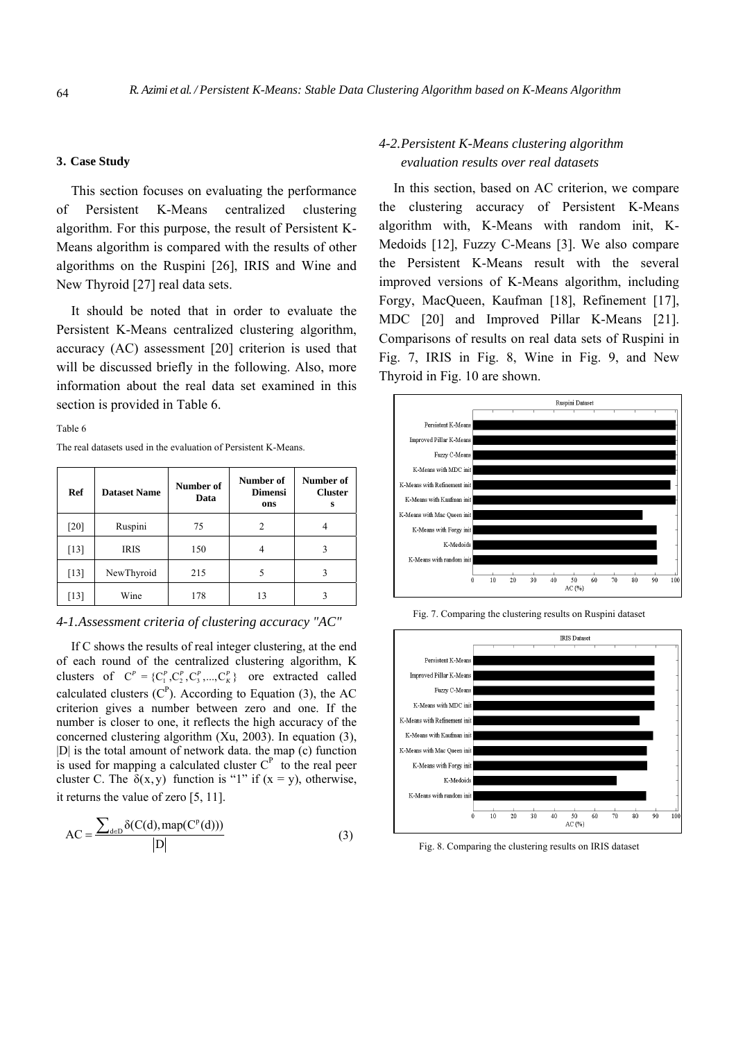### **3. Case Study**

This section focuses on evaluating the performance of Persistent K-Means centralized clustering algorithm. For this purpose, the result of Persistent K-Means algorithm is compared with the results of other algorithms on the Ruspini [26], IRIS and Wine and New Thyroid [27] real data sets.

It should be noted that in order to evaluate the Persistent K-Means centralized clustering algorithm, accuracy (AC) assessment [20] criterion is used that will be discussed briefly in the following. Also, more information about the real data set examined in this section is provided in Table 6.

#### Table 6

The real datasets used in the evaluation of Persistent K-Means.

| Ref                | <b>Dataset Name</b> | Number of<br>Data | Number of<br><b>Dimensi</b><br>ons | Number of<br><b>Cluster</b><br>s |
|--------------------|---------------------|-------------------|------------------------------------|----------------------------------|
| $\lceil 20 \rceil$ | Ruspini             | 75                | 2                                  |                                  |
| $[13]$             | <b>IRIS</b>         | 150               | 4                                  |                                  |
| $[13]$             | NewThyroid          | 215               |                                    |                                  |
| [13]               | Wine                | 178               | 13                                 |                                  |

*4-1.Assessment criteria of clustering accuracy "AC"* 

If C shows the results of real integer clustering, at the end of each round of the centralized clustering algorithm, K clusters of  $C^P = \{C_1^P, C_2^P, C_3^P, ..., C_K^P\}$  ore extracted called calculated clusters  $(C^P)$ . According to Equation (3), the AC criterion gives a number between zero and one. If the number is closer to one, it reflects the high accuracy of the concerned clustering algorithm (Xu, 2003). In equation (3), |D| is the total amount of network data. the map (c) function is used for mapping a calculated cluster  $C<sup>P</sup>$  to the real peer cluster C. The  $\delta(x, y)$  function is "1" if  $(x = y)$ , otherwise, it returns the value of zero [5, 11].

$$
AC = \frac{\sum_{d \in D} \delta(C(d), map(C^p(d)))}{|D|}
$$
 (3)

# *4-2.Persistent K-Means clustering algorithm evaluation results over real datasets*

In this section, based on AC criterion, we compare the clustering accuracy of Persistent K-Means algorithm with, K-Means with random init, K-Medoids [12], Fuzzy C-Means [3]. We also compare the Persistent K-Means result with the several improved versions of K-Means algorithm, including Forgy, MacQueen, Kaufman [18], Refinement [17], MDC [20] and Improved Pillar K-Means [21]. Comparisons of results on real data sets of Ruspini in Fig. 7, IRIS in Fig. 8, Wine in Fig. 9, and New Thyroid in Fig. 10 are shown.



Fig. 7. Comparing the clustering results on Ruspini dataset



Fig. 8. Comparing the clustering results on IRIS dataset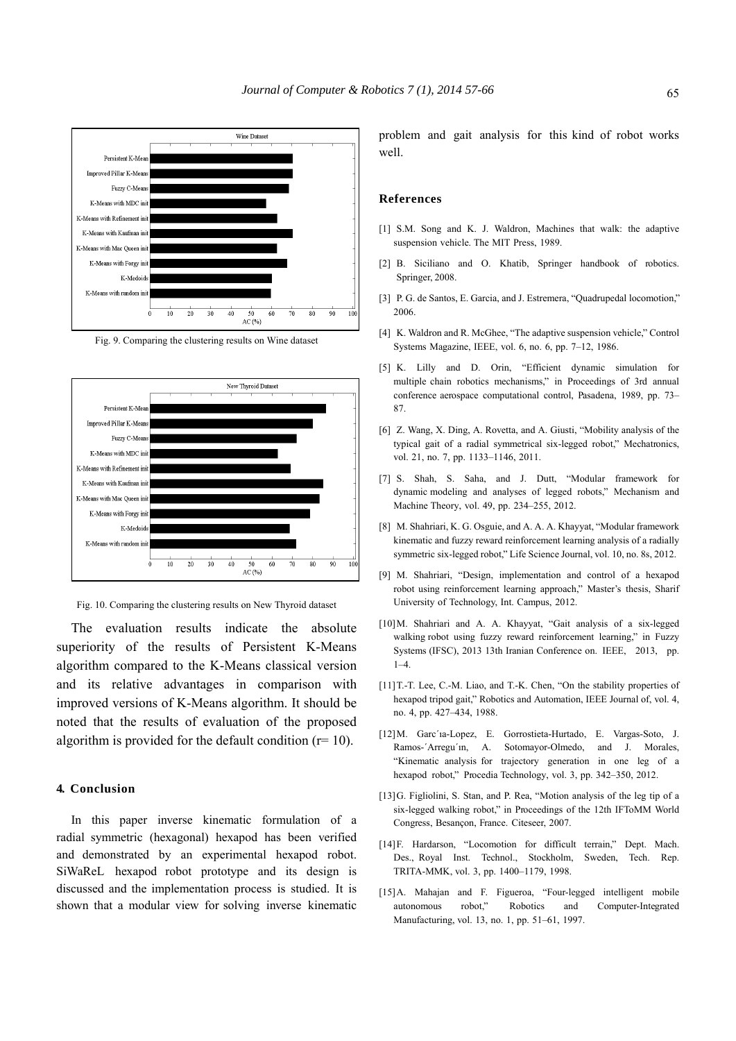

Fig. 9. Comparing the clustering results on Wine dataset



Fig. 10. Comparing the clustering results on New Thyroid dataset

The evaluation results indicate the absolute superiority of the results of Persistent K-Means algorithm compared to the K-Means classical version and its relative advantages in comparison with improved versions of K-Means algorithm. It should be noted that the results of evaluation of the proposed algorithm is provided for the default condition  $(r=10)$ .

#### **4. Conclusion**

In this paper inverse kinematic formulation of a radial symmetric (hexagonal) hexapod has been verified and demonstrated by an experimental hexapod robot. SiWaReL hexapod robot prototype and its design is discussed and the implementation process is studied. It is shown that a modular view for solving inverse kinematic

problem and gait analysis for this kind of robot works well.

#### **References**

- [1] S.M. Song and K. J. Waldron, Machines that walk: the adaptive suspension vehicle. The MIT Press, 1989.
- [2] B. Siciliano and O. Khatib, Springer handbook of robotics. Springer, 2008.
- [3] P. G. de Santos, E. Garcia, and J. Estremera, "Quadrupedal locomotion," 2006.
- [4] K. Waldron and R. McGhee, "The adaptive suspension vehicle," Control Systems Magazine, IEEE, vol. 6, no. 6, pp. 7–12, 1986.
- [5] K. Lilly and D. Orin, "Efficient dynamic simulation for multiple chain robotics mechanisms," in Proceedings of 3rd annual conference aerospace computational control, Pasadena, 1989, pp. 73– 87.
- [6] Z. Wang, X. Ding, A. Rovetta, and A. Giusti, "Mobility analysis of the typical gait of a radial symmetrical six-legged robot," Mechatronics, vol. 21, no. 7, pp. 1133-1146, 2011.
- [7] S. Shah, S. Saha, and J. Dutt, "Modular framework for dynamic modeling and analyses of legged robots," Mechanism and Machine Theory, vol. 49, pp. 234–255, 2012.
- [8] M. Shahriari, K. G. Osguie, and A. A. A. Khayyat, "Modular framework kinematic and fuzzy reward reinforcement learning analysis of a radially symmetric six-legged robot," Life Science Journal, vol. 10, no. 8s, 2012.
- [9] M. Shahriari, "Design, implementation and control of a hexapod robot using reinforcement learning approach," Master's thesis, Sharif University of Technology, Int. Campus, 2012.
- [10]M. Shahriari and A. A. Khayyat, "Gait analysis of a six-legged walking robot using fuzzy reward reinforcement learning," in Fuzzy Systems (IFSC), 2013 13th Iranian Conference on. IEEE, 2013, pp.  $1-4$
- [11] T.-T. Lee, C.-M. Liao, and T.-K. Chen, "On the stability properties of hexapod tripod gait," Robotics and Automation, IEEE Journal of, vol. 4, no. 4, pp. 427–434, 1988.
- [12]M. Garc´ıa-Lopez, E. Gorrostieta-Hurtado, E. Vargas-Soto, J. Ramos-´Arregu´ın, A. Sotomayor-Olmedo, and J. Morales, "Kinematic analysis for trajectory generation in one leg of a hexapod robot," Procedia Technology, vol. 3, pp. 342–350, 2012.
- [13]G. Figliolini, S. Stan, and P. Rea, "Motion analysis of the leg tip of a six-legged walking robot," in Proceedings of the 12th IFToMM World Congress, Besançon, France. Citeseer, 2007.
- [14]F. Hardarson, "Locomotion for difficult terrain," Dept. Mach. Des., Royal Inst. Technol., Stockholm, Sweden, Tech. Rep. TRITA-MMK, vol. 3, pp. 1400–1179, 1998.
- [15]A. Mahajan and F. Figueroa, "Four-legged intelligent mobile autonomous robot," Robotics and Computer-Integrated Manufacturing, vol. 13, no. 1, pp. 51–61, 1997.